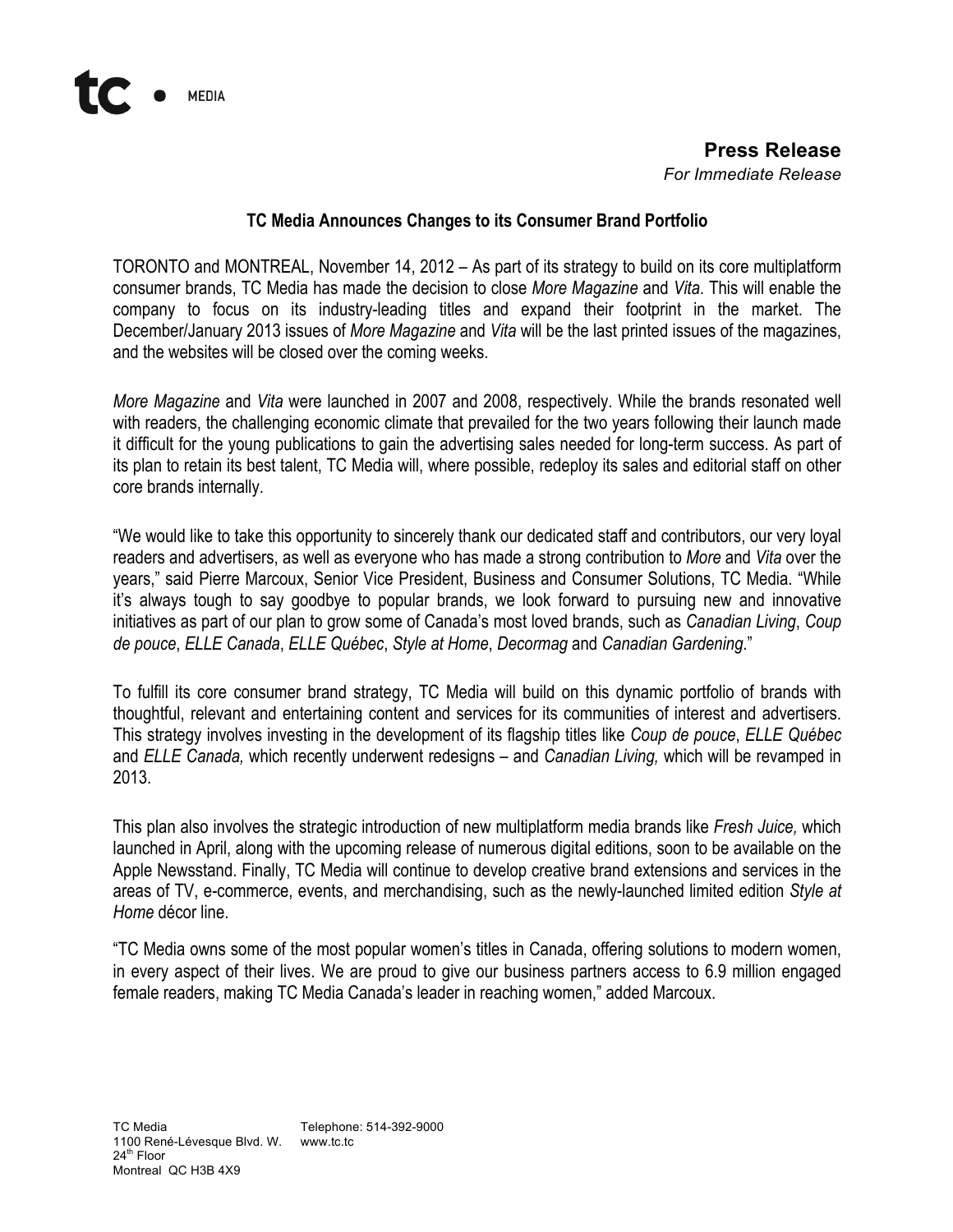## **Press Release** *For Immediate Release*

## **TC Media Announces Changes to its Consumer Brand Portfolio**

TORONTO and MONTREAL, November 14, 2012 – As part of its strategy to build on its core multiplatform consumer brands, TC Media has made the decision to close *More Magazine* and *Vita*. This will enable the company to focus on its industry-leading titles and expand their footprint in the market. The December/January 2013 issues of *More Magazine* and *Vita* will be the last printed issues of the magazines, and the websites will be closed over the coming weeks.

*More Magazine* and *Vita* were launched in 2007 and 2008, respectively. While the brands resonated well with readers, the challenging economic climate that prevailed for the two years following their launch made it difficult for the young publications to gain the advertising sales needed for long-term success. As part of its plan to retain its best talent, TC Media will, where possible, redeploy its sales and editorial staff on other core brands internally.

"We would like to take this opportunity to sincerely thank our dedicated staff and contributors, our very loyal readers and advertisers, as well as everyone who has made a strong contribution to *More* and *Vita* over the years," said Pierre Marcoux, Senior Vice President, Business and Consumer Solutions, TC Media. "While it's always tough to say goodbye to popular brands, we look forward to pursuing new and innovative initiatives as part of our plan to grow some of Canada's most loved brands, such as *Canadian Living*, *Coup de pouce*, *ELLE Canada*, *ELLE Québec*, *Style at Home*, *Decormag* and *Canadian Gardening*."

To fulfill its core consumer brand strategy, TC Media will build on this dynamic portfolio of brands with thoughtful, relevant and entertaining content and services for its communities of interest and advertisers. This strategy involves investing in the development of its flagship titles like *Coup de pouce*, *ELLE Québec* and *ELLE Canada,* which recently underwent redesigns – and *Canadian Living,* which will be revamped in 2013.

This plan also involves the strategic introduction of new multiplatform media brands like *Fresh Juice,* which launched in April, along with the upcoming release of numerous digital editions, soon to be available on the Apple Newsstand. Finally, TC Media will continue to develop creative brand extensions and services in the areas of TV, e-commerce, events, and merchandising, such as the newly-launched limited edition *Style at Home* décor line.

"TC Media owns some of the most popular women's titles in Canada, offering solutions to modern women, in every aspect of their lives. We are proud to give our business partners access to 6.9 million engaged female readers, making TC Media Canada's leader in reaching women," added Marcoux.